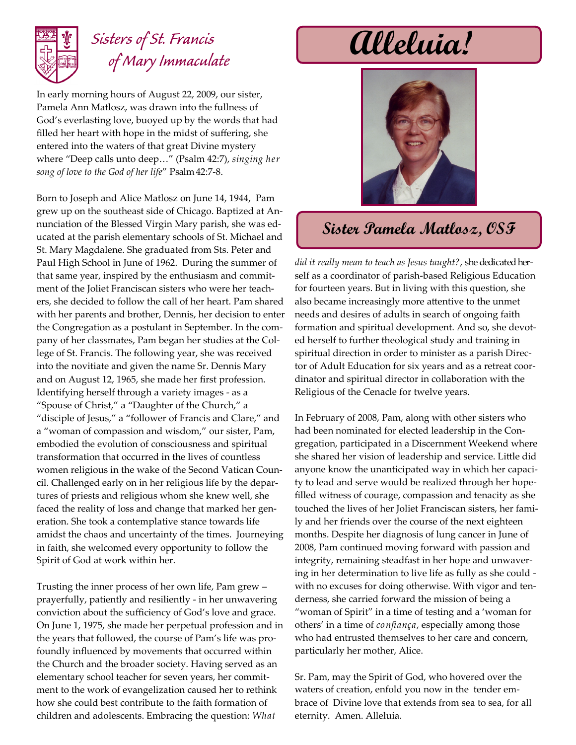

## *Sisters of St. Francis of Mary Immaculate*

In early morning hours of August 22, 2009, our sister, Pamela Ann Matlosz, was drawn into the fullness of God's everlasting love, buoyed up by the words that had filled her heart with hope in the midst of suffering, she entered into the waters of that great Divine mystery where "Deep calls unto deep…" (Psalm 42:7), *singing her song of love to the God of her life*" Psalm 42:7-8.

Born to Joseph and Alice Matlosz on June 14, 1944, Pam grew up on the southeast side of Chicago. Baptized at Annunciation of the Blessed Virgin Mary parish, she was educated at the parish elementary schools of St. Michael and St. Mary Magdalene. She graduated from Sts. Peter and Paul High School in June of 1962. During the summer of that same year, inspired by the enthusiasm and commitment of the Joliet Franciscan sisters who were her teachers, she decided to follow the call of her heart. Pam shared with her parents and brother, Dennis, her decision to enter the Congregation as a postulant in September. In the company of her classmates, Pam began her studies at the College of St. Francis. The following year, she was received into the novitiate and given the name Sr. Dennis Mary and on August 12, 1965, she made her first profession. Identifying herself through a variety images - as a "Spouse of Christ," a "Daughter of the Church," a "disciple of Jesus," a "follower of Francis and Clare," and a "woman of compassion and wisdom," our sister, Pam, embodied the evolution of consciousness and spiritual transformation that occurred in the lives of countless women religious in the wake of the Second Vatican Council. Challenged early on in her religious life by the departures of priests and religious whom she knew well, she faced the reality of loss and change that marked her generation. She took a contemplative stance towards life amidst the chaos and uncertainty of the times. Journeying in faith, she welcomed every opportunity to follow the Spirit of God at work within her.

Trusting the inner process of her own life, Pam grew – prayerfully, patiently and resiliently - in her unwavering conviction about the sufficiency of God's love and grace. On June 1, 1975, she made her perpetual profession and in the years that followed, the course of Pam's life was profoundly influenced by movements that occurred within the Church and the broader society. Having served as an elementary school teacher for seven years, her commitment to the work of evangelization caused her to rethink how she could best contribute to the faith formation of children and adolescents. Embracing the question: *What* 

## **Alleluia!**



## **Sister Pamela Matlosz, OSF**

*did it really mean to teach as Jesus taught?*, she dedicated herself as a coordinator of parish-based Religious Education for fourteen years. But in living with this question, she also became increasingly more attentive to the unmet needs and desires of adults in search of ongoing faith formation and spiritual development. And so, she devoted herself to further theological study and training in spiritual direction in order to minister as a parish Director of Adult Education for six years and as a retreat coordinator and spiritual director in collaboration with the Religious of the Cenacle for twelve years.

In February of 2008, Pam, along with other sisters who had been nominated for elected leadership in the Congregation, participated in a Discernment Weekend where she shared her vision of leadership and service. Little did anyone know the unanticipated way in which her capacity to lead and serve would be realized through her hopefilled witness of courage, compassion and tenacity as she touched the lives of her Joliet Franciscan sisters, her family and her friends over the course of the next eighteen months. Despite her diagnosis of lung cancer in June of 2008, Pam continued moving forward with passion and integrity, remaining steadfast in her hope and unwavering in her determination to live life as fully as she could with no excuses for doing otherwise. With vigor and tenderness, she carried forward the mission of being a "woman of Spirit" in a time of testing and a 'woman for others' in a time of *confiança*, especially among those who had entrusted themselves to her care and concern, particularly her mother, Alice.

Sr. Pam, may the Spirit of God, who hovered over the waters of creation, enfold you now in the tender embrace of Divine love that extends from sea to sea, for all eternity. Amen. Alleluia.